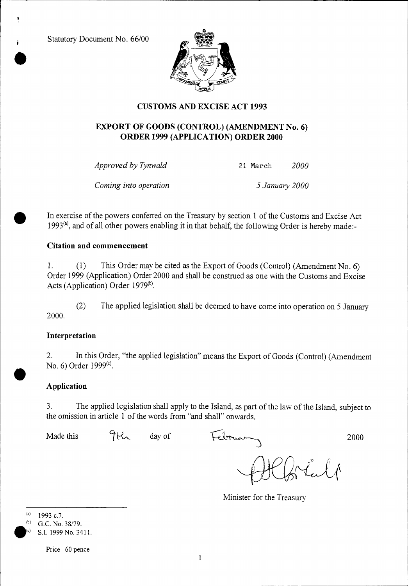Statutory Document No. 66/00



# **CUSTOMS AND EXCISE ACT 1993**

## **EXPORT OF GOODS (CONTROL) (AMENDMENT No. 6) ORDER 1999 (APPLICATION) ORDER 2000**

*Approved by Tynwald* 21 March *2000* 

*Coming into operation 5 January 2000* 

• In exercise of the powers conferred on the Treasury by section 1 of the Customs and Excise Act 1993<sup>(a)</sup>, and of all other powers enabling it in that behalf, the following Order is hereby made:-

## **Citation and commencement**

1. (1) This Order may be cited as the Export of Goods (Control) (Amendment No. 6) Order 1999 (Application) Order 2000 and shall be construed as one with the Customs and Excise Acts (Application) Order 1979<sup>(b)</sup>.

(2) The applied legislation shall be deemed to have come into operation on 5 January 2000.

## **Interpretation**

2. In this Order, "the applied legislation" means the Export of Goods (Control) (Amendment No. 6) Order  $1999^{\text{(c)}}$ .

# **Application**

3. The applied legislation shall apply to the Island, as part of the law of the Island, subject to the omission in article **1** of the words from "and shall" onwards.

Made this  $96\%$  day of February 2000

Lulp

Minister for the Treasury

(a) 1993 c.7.

(b) G.C. No. 38/79. S.I. 1999 No. 3411.

Price 60 pence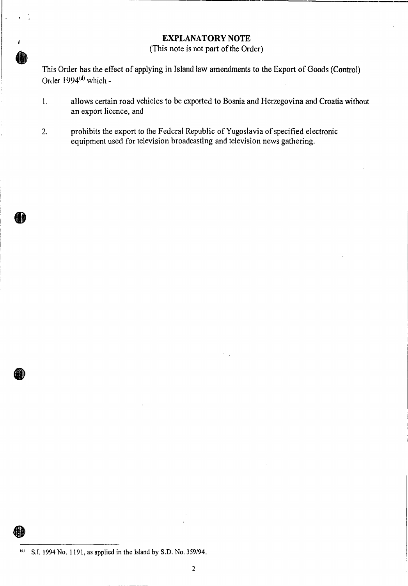## **EXPLANATORY NOTE**

(This note is not part of the Order)

This Order has the effect of applying in Island law amendments to the Export of Goods (Control) Order 1994<sup>(d)</sup> which -

1. allows certain road vehicles to be exported to Bosnia and Herzegovina and Croatia without an export licence, and

 $\mathbb{R}^2/\mathbb{Z}$ 

2. prohibits the export to the Federal Republic of Yugoslavia of specified electronic equipment used for television broadcasting and television news gathering.

 $^{(d)}$  S.I. 1994 No. 1191, as applied in the Island by S.D. No. 359/94.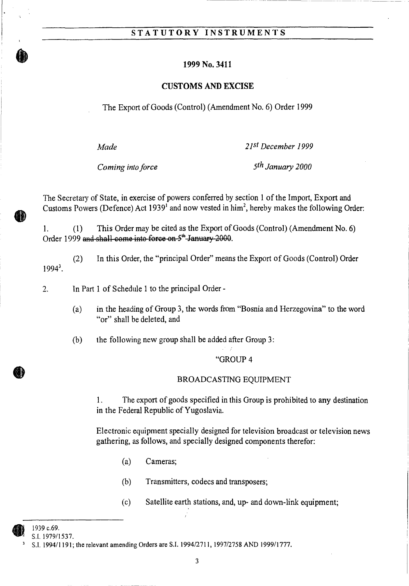## **STATUTORY INSTRUMENTS**

#### **1999 No. 3411**

#### **CUSTOMS AND EXCISE**

The Export of Goods (Control) (Amendment No. 6) Order 1999

*Made 2161December 1999* 

*Coming into force 5th January 2000* 

The Secretary of State, in exercise of powers conferred by section 1 of the Import, Export and Customs Powers (Defence) Act 1939<sup>1</sup> and now vested in him<sup>2</sup>, hereby makes the following Order:

1. (1) This Order may be cited as the Export of Goods (Control) (Amendment No. 6) Order 1999 and shall come into force on 5<sup>th</sup> January 2000.

(2) In this Order, the "principal Order" means the Export of Goods (Control) Order  $1994<sup>3</sup>$ .

 $\overline{2}$ . In Part 1 of Schedule 1 to the principal Order -

> (a) in the heading of Group 3, the words from "Bosnia and Herzegovina" to the word "or" shall be deleted, and

(b) the following new group shall be added after Group 3:

#### "GROUP 4

#### BROADCASTING EQUIPMENT

1. The export of goods specified in this Group is prohibited to any destination in the Federal Republic of Yugoslavia.

Electronic equipment specially designed for television broadcast or television news gathering, as follows, and specially designed components therefor:

- (a) Cameras;
- (b) Transmitters, codecs and transposers;
- (c) Satellite earth stations, and, up- and down-link equipment;

<sup>1939</sup> c.69.

S.I. 1979/1537.

S.I. 1994/1191; the relevant amending Orders are S.I. 1994/2711, 1997/2758 AND 1999/1777.